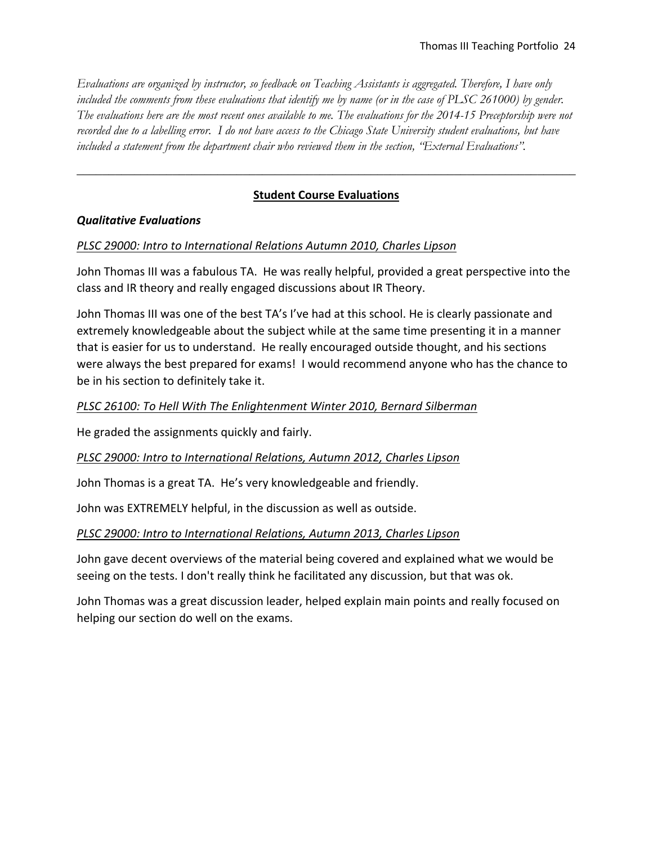*Evaluations are organized by instructor, so feedback on Teaching Assistants is aggregated. Therefore, I have only*  included the comments from these evaluations that identify me by name (or in the case of PLSC 261000) by gender. *The evaluations here are the most recent ones available to me. The evaluations for the 2014-15 Preceptorship were not recorded due to a labelling error. I do not have access to the Chicago State University student evaluations, but have included a statement from the department chair who reviewed them in the section, "External Evaluations".* 

# **Student Course Evaluations**

\_\_\_\_\_\_\_\_\_\_\_\_\_\_\_\_\_\_\_\_\_\_\_\_\_\_\_\_\_\_\_\_\_\_\_\_\_\_\_\_\_\_\_\_\_\_\_\_\_\_\_\_\_\_\_\_\_\_\_\_\_\_\_\_\_\_\_\_\_\_\_\_\_\_\_\_\_\_

# *Qualitative Evaluations*

# *PLSC 29000: Intro to International Relations Autumn 2010, Charles Lipson*

John Thomas III was a fabulous TA. He was really helpful, provided a great perspective into the class and IR theory and really engaged discussions about IR Theory.

John Thomas III was one of the best TA's I've had at this school. He is clearly passionate and extremely knowledgeable about the subject while at the same time presenting it in a manner that is easier for us to understand. He really encouraged outside thought, and his sections were always the best prepared for exams! I would recommend anyone who has the chance to be in his section to definitely take it.

# *PLSC 26100: To Hell With The Enlightenment Winter 2010, Bernard Silberman*

He graded the assignments quickly and fairly.

# *PLSC 29000: Intro to International Relations, Autumn 2012, Charles Lipson*

John Thomas is a great TA. He's very knowledgeable and friendly.

John was EXTREMELY helpful, in the discussion as well as outside.

# *PLSC 29000: Intro to International Relations, Autumn 2013, Charles Lipson*

John gave decent overviews of the material being covered and explained what we would be seeing on the tests. I don't really think he facilitated any discussion, but that was ok.

John Thomas was a great discussion leader, helped explain main points and really focused on helping our section do well on the exams.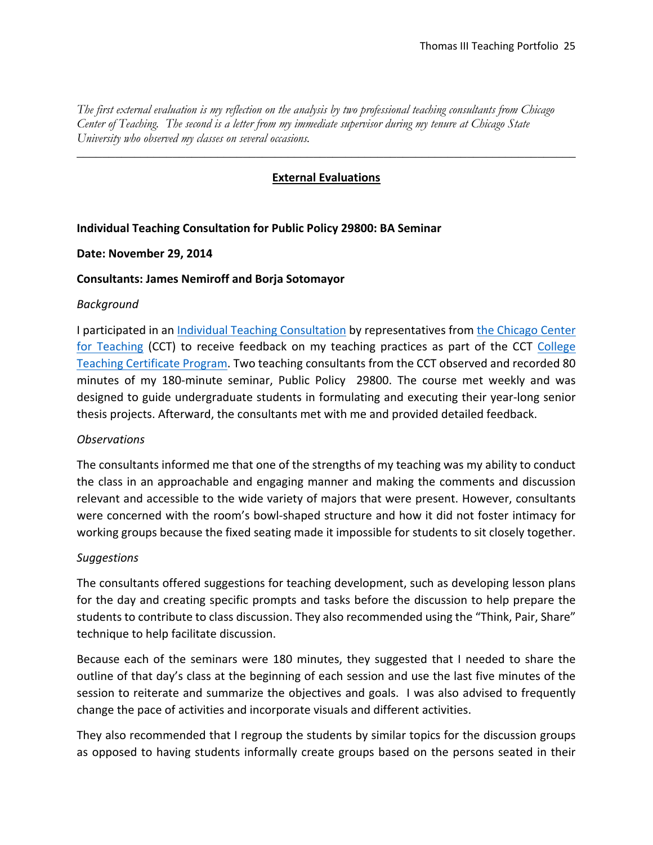*The first external evaluation is my reflection on the analysis by two professional teaching consultants from Chicago Center of Teaching. The second is a letter from my immediate supervisor during my tenure at Chicago State University who observed my classes on several occasions.* 

# **External Evaluations**

\_\_\_\_\_\_\_\_\_\_\_\_\_\_\_\_\_\_\_\_\_\_\_\_\_\_\_\_\_\_\_\_\_\_\_\_\_\_\_\_\_\_\_\_\_\_\_\_\_\_\_\_\_\_\_\_\_\_\_\_\_\_\_\_\_\_\_\_\_\_\_\_\_\_\_\_\_\_

# **Individual Teaching Consultation for Public Policy 29800: BA Seminar**

### **Date: November 29, 2014**

### **Consultants: James Nemiroff and Borja Sotomayor**

### *Background*

I participated in an Individual Teaching Consultation by representatives from the Chicago Center for Teaching (CCT) to receive feedback on my teaching practices as part of the CCT College Teaching Certificate Program. Two teaching consultants from the CCT observed and recorded 80 minutes of my 180-minute seminar, Public Policy 29800. The course met weekly and was designed to guide undergraduate students in formulating and executing their year‐long senior thesis projects. Afterward, the consultants met with me and provided detailed feedback.

# *Observations*

The consultants informed me that one of the strengths of my teaching was my ability to conduct the class in an approachable and engaging manner and making the comments and discussion relevant and accessible to the wide variety of majors that were present. However, consultants were concerned with the room's bowl-shaped structure and how it did not foster intimacy for working groups because the fixed seating made it impossible for students to sit closely together.

# *Suggestions*

The consultants offered suggestions for teaching development, such as developing lesson plans for the day and creating specific prompts and tasks before the discussion to help prepare the students to contribute to class discussion. They also recommended using the "Think, Pair, Share" technique to help facilitate discussion.

Because each of the seminars were 180 minutes, they suggested that I needed to share the outline of that day's class at the beginning of each session and use the last five minutes of the session to reiterate and summarize the objectives and goals. I was also advised to frequently change the pace of activities and incorporate visuals and different activities.

They also recommended that I regroup the students by similar topics for the discussion groups as opposed to having students informally create groups based on the persons seated in their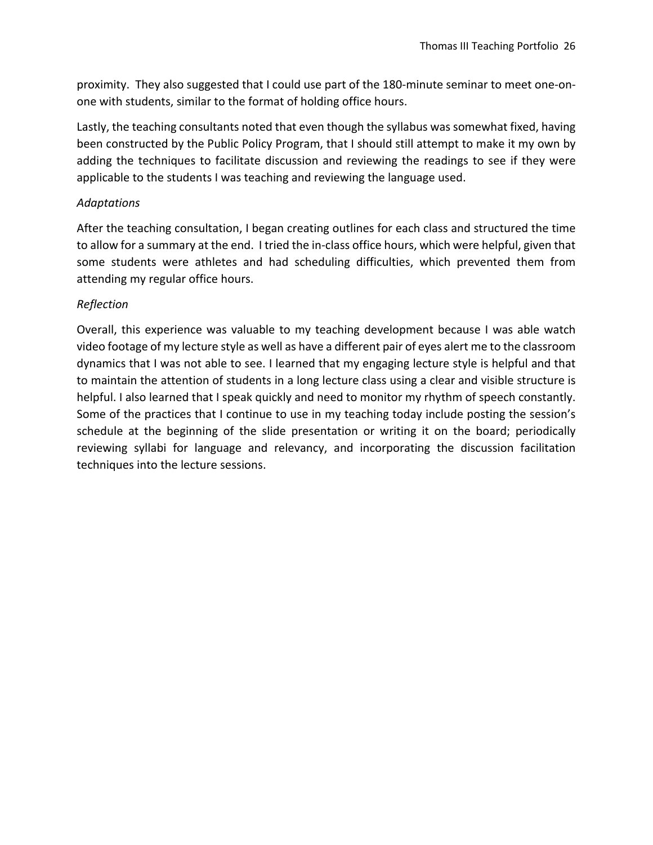proximity. They also suggested that I could use part of the 180‐minute seminar to meet one‐on‐ one with students, similar to the format of holding office hours.

Lastly, the teaching consultants noted that even though the syllabus was somewhat fixed, having been constructed by the Public Policy Program, that I should still attempt to make it my own by adding the techniques to facilitate discussion and reviewing the readings to see if they were applicable to the students I was teaching and reviewing the language used.

# *Adaptations*

After the teaching consultation, I began creating outlines for each class and structured the time to allow for a summary at the end. I tried the in‐class office hours, which were helpful, given that some students were athletes and had scheduling difficulties, which prevented them from attending my regular office hours.

# *Reflection*

Overall, this experience was valuable to my teaching development because I was able watch video footage of my lecture style as well as have a different pair of eyes alert me to the classroom dynamics that I was not able to see. I learned that my engaging lecture style is helpful and that to maintain the attention of students in a long lecture class using a clear and visible structure is helpful. I also learned that I speak quickly and need to monitor my rhythm of speech constantly. Some of the practices that I continue to use in my teaching today include posting the session's schedule at the beginning of the slide presentation or writing it on the board; periodically reviewing syllabi for language and relevancy, and incorporating the discussion facilitation techniques into the lecture sessions.